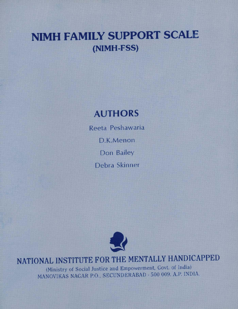## NIMH FAMILY SUPPORT SCALE (NIMH-FSS)

### AUTHORS

Reeta Peshawaria D.K.Menon Don Bailey Debra Skinner



### NATIONAL INSTITUTE FOR THE MENTALLY HANDICAPPED

(Ministry of Social Justice and Empowerment, Govt. of India) MANOVIKAS NAGAR P.O., SECUNDERABAD - 500 009. A.P. INDIA.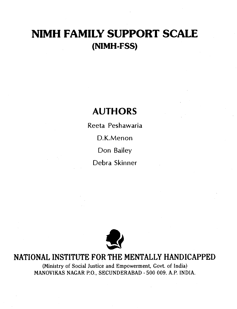### NIMH FAMILY SUPPORT SCALE (NIMH-FSS)

### AUTHORS

Reeta Peshawaria D.K.Menon Don Bailey Debra Skinner



# **EXECUTE MENTALLY HANDICAPPED** NATIONAL INSTITUTE FOR THE MENTALLY HANDICAPPED

(Ministry of Social Justice and Empowerment, Govt. of India) MANOVIKAS NAGAR P.O., SECUNDERABAD -500 009. A.P. INDIA.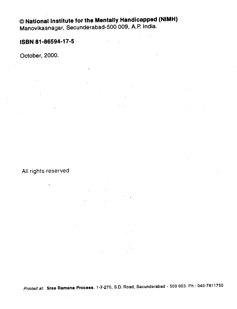#### National Institute for the Mentally Handicapped (NIMH) Manovikasnagar, Secunderabad-500 009, A.P. India.

#### ISBN 81 -86594-17-5

October, 2000.

All rights reserved

Printed at: Sree Ramana Process, 1-7-270, S.D. Road, Secunderabad - 500 003. Ph : 040-7811750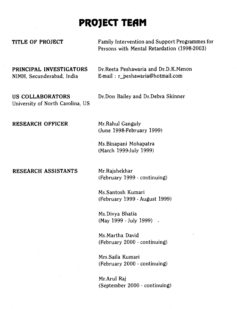### PROJECT TEAM

TITLE OF PROJECT Family Intervention and Support Programmes for Persons with Mental Retardation (1998-2003)

University of North Carolina, US

PRINCIPAL INVESTIGATORS Dr.Reeta Peshawaria and Dr.D.K.Menon NIMH, Secunderabad, India E-mail : r\_peshawaria@hotmail.com

US COLLABORATORS Dr.Don Bailey and Dr.Debra Skinner

#### RESEARCH OFFICER Mr.Rahul Ganguly

(June 1998-February 1999)

Ms.Binapani Mohapatra (March 1999-July 1999)

#### RESEARCH ASSISTANTS Mr.Rajshekhar

(February 1999 - continuing)

Ms.Santosh Kumari (February 1999 - August 1999)

Ms.Divya Bhatia (May 1999 - July 1999)

Ms.Martha David (February 2000 - continuing)

Mrs.Saila Kumari (February 2000 - continuing)

Mr.Arul Raj (September 2000 - continuing)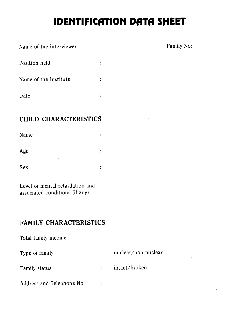### **IDENTIFICATION DATA SHEET**

 $\ddot{\cdot}$ 

 $\ddot{\cdot}$ 

 $\ddot{\cdot}$ 

 $\ddot{\cdot}$ 

 $\ddot{\cdot}$ 

 $\ddot{\cdot}$ 

Name of the interviewer : The interviewer is the set of the interviewer is not the set of the set of the set of the set of the set of the set of the set of the set of the set of the set of the set of the set of the set of

Position held

Name of the Institute

Date

#### CHILD CHARACTERISTICS

Name

Age

Sex

Level of mental retardation and associated conditions (if any)

#### FAMILY CHARACTERISTICS

| Total family income      |                     |
|--------------------------|---------------------|
| Type of family           | nuclear/non nuclear |
| Family status            | intact/broken       |
| Address and Telephone No |                     |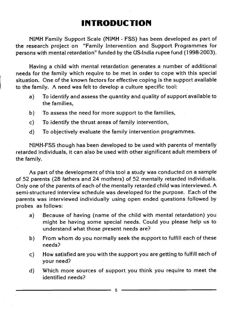### INTRODUCTION

NIMH Family Support Scale (NIMH - FSS) has been developed as part of the research project on "Family Intervention and Support Programmes for persons with mental retardation" funded by the US-India rupee fund (1998-2003).

Having a child with mental retardation generates a number of additional needs for the family which require to be met in order to cope with this special situation. One of the known factors for effective coping is the support available to the family. A need was felt to develop a culture specific tool:

- a) To identify and assess the quantity and quality of support available to the families,
- b) To assess the need for more support to the families,
- c) To identify the thrust areas of family intervention,
- d) To objectively evaluate the family intervention programmes.

NIMH-FSS though has been developed to be used with parents of mentally retarded individuals, it can also be used with other significant adult members of the family.

As part of the development of this tool a study was conducted on a sample of 52 parents (28 fathers and 24 mothers) of 52 mentally retarded individuals. Only one of the parents of each of the mentally retarded child was interviewed. A semi-structured interview schedule was developed for the purpose. Each of the parents was interviewed individually using open ended questions followed by probes as follows:

- a) Because of having (name of the child with mental retardation) you might be having some special needs. Could you please help us to understand what those present needs are?
- b) From whom do you normally seek the support to fulfill each of these needs?
- c) How satisfied are you with the support you are getting to fulfill each of your need?
- d) Which more sources of support you think you require to meet the identified needs?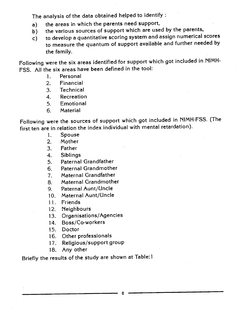The analysis of the data obtained helped to identify:

- 
- a) the areas in which the parents need support,<br>b) the various sources of support which are use b) the various sources of support which are used by the parents,<br>c) to develop a quantitative scoring system and assign numerical :
- to develop a quantitative scoring system and assign numerical scores to measure the quantum of support available and further needed by the family.

Following were the six areas identified for support which got included in NIMH-FSS. All the six areas have been defined in the tool:

- 1. Personal
- 2. Financial
- 3. Technical
- 4. Recreation
- 5. Emotional
- 6. Material

Following were the sources of support which got included in NIMH-FSS. (The first ten are in relation the index individual with mental retardation).

- 1. Spouse<br>2. Mother
- **Mother**

3. Father

4. Sibling<mark>s</mark><br>5. Paternal

5. Paternal Grandfather

6. Paternal Grandmother

- 7. Maternal Grandfather
- 8. Maternal Grandmother
- 9. Paternal Aunt/Uncle
- 10. Maternal Aunt/Uncle
- 11. Friends

12. Neighbours

- 13. Organisations/Agencies
- 14. Boss/Co-workers
- 15. Doctor
- 16. Other professionals
- 17. Religious/support group
- 18. Any other

Briefly the results of the study are shown at Table: I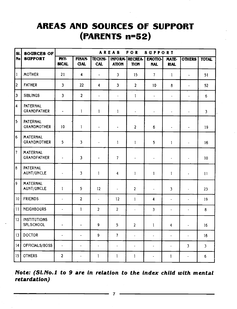### AREAS AND SOURCES OF SUPPORT (PARENTS n=52)

| <b>SI.</b>              | <b>SOURCES OF</b>                     |                          |                              |                              | AREAS                          | <b>FOR</b>                    | <b>SUPPORT</b>               |                          |                          |              |
|-------------------------|---------------------------------------|--------------------------|------------------------------|------------------------------|--------------------------------|-------------------------------|------------------------------|--------------------------|--------------------------|--------------|
| <b>No</b>               | <b>SUPPORT</b>                        | PHY.<br><b>SICAL</b>     | <b>FINAN-</b><br><b>CIAL</b> | <b>TECHNI-</b><br><b>CAL</b> | <b>INFORM-</b><br><b>ATION</b> | <b>RECREA-</b><br><b>TION</b> | <b>EMOTIO-</b><br><b>NAL</b> | MATE-<br><b>RIAL</b>     | <b>OTHERS</b>            | <b>TOTAL</b> |
| $\vert$ 1               | <b>MOTHER</b>                         | 21                       | $\overline{\mathbf{4}}$      | $\overline{a}$               | $\overline{\mathbf{3}}$        | 15                            | $\overline{7}$               | $\mathbf{1}$             | $\overline{\phantom{a}}$ | 51           |
| 2                       | <b>FATHER</b>                         | $\overline{\mathbf{3}}$  | 22                           | $\overline{\mathbf{4}}$      | $\overline{\mathbf{3}}$        | $\overline{c}$                | 10 <sup>10</sup>             | 8                        | $\ddot{\phantom{a}}$     | 52           |
| $\overline{\mathbf{3}}$ | <b>SIBLINGS</b>                       | $\overline{\mathbf{3}}$  | $\overline{c}$               | $\ddot{\phantom{0}}$         | $\blacksquare$                 | $\mathbf{1}$                  | $\blacksquare$               | ä,                       | ÷,                       | 6            |
| $\overline{\mathbf{4}}$ | PATERNAL<br><b>GRANDFATHER</b>        | $\overline{\phantom{a}}$ | $\mathbf{1}$                 | $\mathbf{1}$                 | $\mathbf{1}$                   | $\blacksquare$                | $\blacksquare$               | $\blacksquare$           | ä,                       | 3            |
| $\overline{5}$          | <b>PATERNAL</b><br><b>GRANDMOTHER</b> | 10                       | $\mathbf{1}$                 | $\ddot{\phantom{0}}$         | $\ddot{\phantom{a}}$           | $\overline{\mathbf{c}}$       | $\boldsymbol{6}$             | $\frac{1}{2}$            | $\tilde{\phantom{a}}$    | 19           |
| $6\phantom{a}$          | <b>MATERNAL</b><br><b>GRANDMOTHER</b> | 5                        | $\overline{3}$               | $\overline{a}$               | $\mathbf{1}$                   | $\mathbf{1}$                  | $5\phantom{.0}$              | $\mathbf{1}$             | $\blacksquare$           | 16           |
| 7                       | <b>MATERNAL</b><br><b>GRANDFATHER</b> | ì,                       | $\overline{\mathbf{3}}$      | $\tilde{\phantom{a}}$        | $\overline{7}$                 | $\blacksquare$                | $\blacksquare$               | ÷,                       | $\ddot{\phantom{a}}$     | 10           |
| 8                       | PATERNAL<br>AUNT/UNCLE                | $\overline{\phantom{a}}$ | 3                            | $\mathbf{1}$                 | 4                              | $\mathbf{1}$                  | $\mathbf{1}$                 | $\mathbf{1}$             | $\tilde{\phantom{a}}$    | 11           |
| و                       | <b>MATERNAL</b><br>AUNT/UNCLE         | $\mathbf{1}$             | 5                            | 12                           | ÷,                             | $\overline{2}$                | ä,                           | $\overline{\mathbf{3}}$  | $\overline{\phantom{a}}$ | 23           |
| 10                      | <b>FRIENDS</b>                        | $\ddot{\phantom{0}}$     | $\overline{c}$               | L.                           | 12                             | $\mathbf{1}$                  | 4                            | $\blacksquare$           | ä,                       | 19           |
| 11                      | <b>NEIGHBOURS</b>                     | $\overline{\phantom{a}}$ | $\mathbf{1}$                 | $\overline{2}$               | $\overline{2}$                 | $\overline{\phantom{a}}$      | 3                            | $\overline{\phantom{a}}$ | $\blacksquare$           | 8            |
| 12                      | <b>INSTITUTIONS</b><br>SPL.SCHOOL     | $\blacksquare$           | $\blacksquare$               | 9                            | 5                              | $\overline{2}$                | $\mathbf{1}$                 | 4                        | $\ddot{\phantom{1}}$     | 16           |
| 13                      | <b>DOCTOR</b>                         | $\hat{\phantom{a}}$      | $\overline{\phantom{a}}$     | 9                            | $\overline{7}$                 | ä,                            | $\ddot{\phantom{a}}$         | $\Delta$                 | $\ddot{\phantom{0}}$     | 16           |
| 14                      | OFFICIALS/BOSS                        | ä,                       | $\ddot{\phantom{a}}$         | ¥,                           | $\blacksquare$                 | ٠                             | $\overline{\phantom{a}}$     | $\ddot{\phantom{a}}$     | 3                        | 3            |
| 15                      | <b>OTHERS</b>                         | 2                        | $\blacksquare$               | $\mathbf{1}$                 | $\mathbf{1}$                   | $\mathbf{1}$                  | $\hat{\phantom{a}}$          | $\mathbf{1}$             | $\blacksquare$           | 6            |

Note: (Sl.No.1 to 9 are in relation to the index child with mental retardation)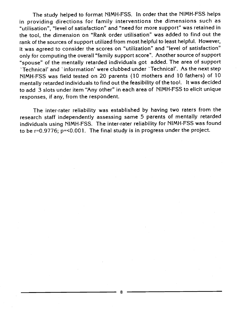The study helped to format NIMH-FSS. In order that the NIMH-FSS helps in providing directions for family interventions the dimensions such as "utilisation", "level of satisfaction" and "need for more support" was retained in the tool, the dimension on "Rank order utilisation" was added to find out the rank of the sources of support utilized from most helpful to least helpful. However, it was agreed to consider the scores on "utilization" and "level of satisfaction" only for computing the overall "family support score". Another source of support "spouse" of the mentally retarded individuals got added. The area of support 'Technical' and 'information' were clubbed under 'Technical'. As the next step NIMH-FSS was field tested on 20 parents (10 mothers and 10 fathers) of 10 mentally retarded individuals to find out the feasibility of the tool. It was decided to add 3 slots under item "Any other" in each area of NIMH-FSS to elicit unique responses, if any, from the respondent.

The inter-rater reliability was established by having two raters from the research staff independently assessing same 5 parents of mentally retarded individuals using NIMH-FSS. The inter-rater reliability for NIMH-FSS was found to be r=0.9776; p=<O.OO1. The final study is in progress under the project.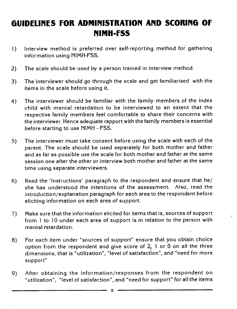### GUIDELINES FOR ADMINISTRATION AND SCORING OF NIMH-rSS

- 1) Interview method is preferred over self-reporting method for gathering information using NIMH-FSS.
- 2) The scale should be used by a person trained in interview method.
- 3) The interviewer should go through the scale and get familiarised with the items in the scale before using it.
- 4) The interviewer should be familiar with the family members of the index child with mental retardation to be interviewed to an extent that the respective family members feel comfortable to share their concerns with the interviewer. Hence adequate rapport with the family members is essential -before starting to use NIMH - FSS.
- 5) The interviewer must take consent before using the scale with each of the parent. The scale should be used separately for both mother and father and as far as possible use the scale for both mother and father at the same session one after the other or interview both mother and father at the same time using separate interviewers.
- 6) Read the 'Instructions' paragraph to the respondent and ensure that he/ she has understood the intentions of the assessment. Also, read the introduction/explanation paragraph for each area to the respondent before eliciting information on each area of support.
- 7) Make sure that the information elicited for items that is, sources of support from 1 to 10 under each area of support is in relation to the person with mental retardation.
- 8) For each item under "sources of support" ensure that you obtain choice option from the respondent and give score of 2, 1 or  $0$  on all the three dimensions, that is "utilization", "level of satisfaction", and "need for more support"
- 9) After obtaining the information/responses from the respondent on "utilization", "level of satisfaction", and "need for support" for all the items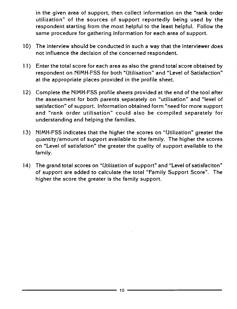in the given area of support, then collect information on the "rank order utilization" of the sources of support reportedly being used by the respondent starting from the most helpful to the least helpful. Follow the same procedure for gathering information for each area of support.

- 10) The interview should be conducted in such a way that the interviewer does not influence the decision of the concerned respondent.
- 11) Enter the total score for each area as also the grand total score obtained by respondent on NIMH-FSS for both "Utilisation" and "Level of Satisfaction" at the appropriate places provided in the profile sheet.
- 12) Complete the NIMH-FSS profile sheets provided at the end of the tool after the assessment for both parents separately on "utilisation" and "level of satisfaction" of support. Information obtained form "need for more support and "rank order utilisation" could also be compiled separately for understanding and helping the families.
- 13) NIMH-FSS indicates that the higher the scores on "Utilization" greater the quantity/amount of support available to the family. The higher the scores on "Level of satisfation" the greater the quality of support available to the family.
- 14) The grand total scores on "Utilization of support" and "Level of satisfaciton" of support are added to calculate the total "Family Support Score". The higher the score the greater is the family support.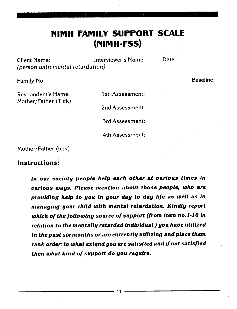### **NIMH FAMILY SUPPORT SCALE** (rIIMH-rss)

Client Name: Interviewer's Name: Date: (person with mental retardation)

Family No: Baseline:

Respondent's Name: 1st Assessment:

Mother/Father (Tick) 2nd Assessment: 3rd Assessment: 4th Assessment:

Mother/Father (tick)

#### Instructions:

In our society people help each other at various times in various ways. Please mention about those people, who are providing help to you in your day to day life as well as in managing your child with mental retardation. Kindly report which of the following source of support (from item no.1-10 in relation to the mentally retarded individual) you have utilized in the past six months or are currently utilizing and place them rank order; to what extend you are satisfied and If not satisfied then what kind of support do you require.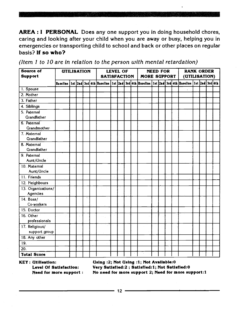AREA : I PERSONAL Does any one support you in doing household chores, caring and looking after your child when you are away or busy, helping you in emergencies or transporting child to school and back or other places on regular basis? If so who?

| <b>Source of</b>      | <b>UTILISATION</b> |  |  |                                                                                                                                      | <b>LEVEL OF</b> |  |                     | <b>NEED FOR</b> |  | <b>RANK ORDER</b> |  |  |
|-----------------------|--------------------|--|--|--------------------------------------------------------------------------------------------------------------------------------------|-----------------|--|---------------------|-----------------|--|-------------------|--|--|
| <b>Support</b>        |                    |  |  | <b>SATISFACTION</b>                                                                                                                  |                 |  | <b>MORE SUPPORT</b> |                 |  | (UTILISATION)     |  |  |
|                       |                    |  |  | Baseline   1st   2nd   3rd   4th  Baseline   1st   2nd   3rd   4th  Baseline   1st  2nd   3rd   4th  Baseline   1st  2nd   3rd   4th |                 |  |                     |                 |  |                   |  |  |
| 1. Spouse             |                    |  |  |                                                                                                                                      |                 |  |                     |                 |  |                   |  |  |
| 2. Mother             |                    |  |  |                                                                                                                                      |                 |  |                     |                 |  |                   |  |  |
| 3. Father             |                    |  |  |                                                                                                                                      |                 |  |                     |                 |  |                   |  |  |
| 4. Siblings           |                    |  |  |                                                                                                                                      |                 |  |                     |                 |  |                   |  |  |
| 5. Paternal           |                    |  |  |                                                                                                                                      |                 |  |                     |                 |  |                   |  |  |
| Grandfather           |                    |  |  |                                                                                                                                      |                 |  |                     |                 |  |                   |  |  |
| 6. Paternal           |                    |  |  |                                                                                                                                      |                 |  |                     |                 |  |                   |  |  |
| Grandmother           |                    |  |  |                                                                                                                                      |                 |  |                     |                 |  |                   |  |  |
| 7. Maternal           |                    |  |  |                                                                                                                                      |                 |  |                     |                 |  |                   |  |  |
| Grandfather           |                    |  |  |                                                                                                                                      |                 |  |                     |                 |  |                   |  |  |
| 8. Maternal           |                    |  |  |                                                                                                                                      |                 |  |                     |                 |  |                   |  |  |
| Grandfather           |                    |  |  |                                                                                                                                      |                 |  |                     |                 |  |                   |  |  |
| 9. Paternal           |                    |  |  |                                                                                                                                      |                 |  |                     |                 |  |                   |  |  |
| Aunt/Uncle            |                    |  |  |                                                                                                                                      |                 |  |                     |                 |  |                   |  |  |
| 10. Maternal          |                    |  |  |                                                                                                                                      |                 |  |                     |                 |  |                   |  |  |
| Aunt/Uncle            |                    |  |  |                                                                                                                                      |                 |  |                     |                 |  |                   |  |  |
| 11. Friends           |                    |  |  |                                                                                                                                      |                 |  |                     |                 |  |                   |  |  |
| 12. Neighbours        |                    |  |  |                                                                                                                                      |                 |  |                     |                 |  |                   |  |  |
| 13. Organizations/    |                    |  |  |                                                                                                                                      |                 |  |                     |                 |  |                   |  |  |
| Agencies<br>14. Boss/ |                    |  |  |                                                                                                                                      |                 |  |                     |                 |  |                   |  |  |
| Co-workers            |                    |  |  |                                                                                                                                      |                 |  |                     |                 |  |                   |  |  |
| $15.$ Doctor          |                    |  |  |                                                                                                                                      |                 |  |                     |                 |  |                   |  |  |
| 16. Other             |                    |  |  |                                                                                                                                      |                 |  |                     |                 |  |                   |  |  |
| professionals         |                    |  |  |                                                                                                                                      |                 |  |                     |                 |  |                   |  |  |
| $17.$ Religious/      |                    |  |  |                                                                                                                                      |                 |  |                     |                 |  |                   |  |  |
| support group         |                    |  |  |                                                                                                                                      |                 |  |                     |                 |  |                   |  |  |
| 18. Any other         |                    |  |  |                                                                                                                                      |                 |  |                     |                 |  |                   |  |  |
| $\overline{19}$ .     |                    |  |  |                                                                                                                                      |                 |  |                     |                 |  |                   |  |  |
| 20.                   |                    |  |  |                                                                                                                                      |                 |  |                     |                 |  |                   |  |  |
| <b>Total Score</b>    |                    |  |  |                                                                                                                                      |                 |  |                     |                 |  |                   |  |  |

(Item 1 to 10 are in relation to the person with mental retardation)

KEY: Utilisatlon: Using :2; Not Using :1; Not Avallable:O Very Satisfied:2 ; Satisfied:1; Not Satisfied:0 Need for more support: No need formore support 2; Need for more support:1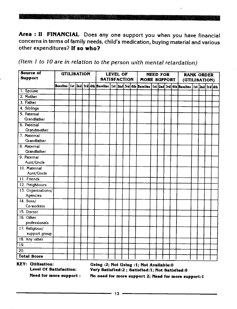Area : II FINANCIAL Does any one support you when you have financial concerns in terms of family needs, child's medication, buying material and various other expenditures? If so who?

| (Item 1 to 10 are in relation to the person with mental retardation) |  |
|----------------------------------------------------------------------|--|
|----------------------------------------------------------------------|--|

| Source of<br><b>Support</b> | <b>UTILISATION</b> |  |  |  |  | <b>SATISFACTION</b> | LEVEL OF |  | <b>MORE SUPPORT</b> | <b>NEED FOR</b> |  | <b>RANK ORDER</b><br>(UTILISATION)                                                                                                    |  |  |
|-----------------------------|--------------------|--|--|--|--|---------------------|----------|--|---------------------|-----------------|--|---------------------------------------------------------------------------------------------------------------------------------------|--|--|
|                             |                    |  |  |  |  |                     |          |  |                     |                 |  | Baseline   1st   2nd   3rd   4th  Baseline   1st   2nd   3rd   4th  Baseline   1st   2nd   3rd   4th  Baseline   1st  2nd   3rd   4th |  |  |
| 1. Spouse                   |                    |  |  |  |  |                     |          |  |                     |                 |  |                                                                                                                                       |  |  |
| 2. Mother                   |                    |  |  |  |  |                     |          |  |                     |                 |  |                                                                                                                                       |  |  |
| 3. Father                   |                    |  |  |  |  |                     |          |  |                     |                 |  |                                                                                                                                       |  |  |
| 4. Siblings                 |                    |  |  |  |  |                     |          |  |                     |                 |  |                                                                                                                                       |  |  |
| 5. Paternal                 |                    |  |  |  |  |                     |          |  |                     |                 |  |                                                                                                                                       |  |  |
| Grandfather                 |                    |  |  |  |  |                     |          |  |                     |                 |  |                                                                                                                                       |  |  |
| 6. Paternal                 |                    |  |  |  |  |                     |          |  |                     |                 |  |                                                                                                                                       |  |  |
| Grandmother                 |                    |  |  |  |  |                     |          |  |                     |                 |  |                                                                                                                                       |  |  |
| 7. Maternal                 |                    |  |  |  |  |                     |          |  |                     |                 |  |                                                                                                                                       |  |  |
| Grandfather                 |                    |  |  |  |  |                     |          |  |                     |                 |  |                                                                                                                                       |  |  |
| 8. Maternal                 |                    |  |  |  |  |                     |          |  |                     |                 |  |                                                                                                                                       |  |  |
| Grandfather                 |                    |  |  |  |  |                     |          |  |                     |                 |  |                                                                                                                                       |  |  |
| 9. Paternal                 |                    |  |  |  |  |                     |          |  |                     |                 |  |                                                                                                                                       |  |  |
| Aunt/Uncle                  |                    |  |  |  |  |                     |          |  |                     |                 |  |                                                                                                                                       |  |  |
| 10. Maternal                |                    |  |  |  |  |                     |          |  |                     |                 |  |                                                                                                                                       |  |  |
| Aunt/Uncle                  |                    |  |  |  |  |                     |          |  |                     |                 |  |                                                                                                                                       |  |  |
| 11. Friends                 |                    |  |  |  |  |                     |          |  |                     |                 |  |                                                                                                                                       |  |  |
| 12. Neighbours              |                    |  |  |  |  |                     |          |  |                     |                 |  |                                                                                                                                       |  |  |
| 13. Organizations/          |                    |  |  |  |  |                     |          |  |                     |                 |  |                                                                                                                                       |  |  |
| Agencies                    |                    |  |  |  |  |                     |          |  |                     |                 |  |                                                                                                                                       |  |  |
| 14. Boss/<br>Co-workers     |                    |  |  |  |  |                     |          |  |                     |                 |  |                                                                                                                                       |  |  |
|                             |                    |  |  |  |  |                     |          |  |                     |                 |  |                                                                                                                                       |  |  |
| 15. Doctor                  |                    |  |  |  |  |                     |          |  |                     |                 |  |                                                                                                                                       |  |  |
| 16. Other                   |                    |  |  |  |  |                     |          |  |                     |                 |  |                                                                                                                                       |  |  |
| professionals               |                    |  |  |  |  |                     |          |  |                     |                 |  |                                                                                                                                       |  |  |
| 17. Religious/              |                    |  |  |  |  |                     |          |  |                     |                 |  |                                                                                                                                       |  |  |
| support group               |                    |  |  |  |  |                     |          |  |                     |                 |  |                                                                                                                                       |  |  |
| 18. Any other               |                    |  |  |  |  |                     |          |  |                     |                 |  |                                                                                                                                       |  |  |
| 19.                         |                    |  |  |  |  |                     |          |  |                     |                 |  |                                                                                                                                       |  |  |
| 20.                         |                    |  |  |  |  |                     |          |  |                     |                 |  |                                                                                                                                       |  |  |
| <b>Total Score</b>          |                    |  |  |  |  |                     |          |  |                     |                 |  |                                                                                                                                       |  |  |

KEY: Utilisatlon:

Level Of Satisfaction: UsIng :2; Not Using :1; Not Available:O Very Satisfled:2; Satisfied:1; Not Satlsfied:O

Need for more support:

No need for more support 2; Need for more support:1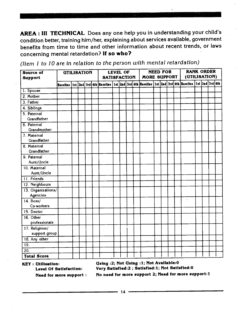AREA: III TECHNICAL Does any one help you in understanding your child's condition better, training him/her, explaining about services available, government benefits from time to time and other information about recent trends, or laws concerning mental retardation? If so who?

RANK ORDER UTILISATION LEVEL OF NEED FOR Source of MORE SUPPORT (UTILISATION) **SATISFACTION** Support Baseline 1st 2nd 3rd 4th Baseline 1st 2nd 3rd 4th Baseline 1st 2nd 3rd 4th Baseline 1st 2nd 3rd 4th 1. Spouse 2. Mother 3. Father 4. Siblings . 5. Paternal Grandfather 6. Paternal **Grandmother** 7. Maternal Grandfather 8. Maternal Grandfather 9. Paternal Aunt/Uncle 10. Maternal Aunt/Uncle 11. Friends 12. Neighbours 13. Organizations/ Agencies ¥. 14. Boss! Co-workers 15. Doctor 16. Other professionals 17. Religious/ support group 18. Any other 19.  $20.$ Total Score

(Item I to JO are in relation to the person with mental retardation)

KEY: Utlilsation:

Using :2; Not Using :1; Not Avallable:O Very Satlsfled:2 ; Satisfied:1; Not Satisfled:O

Level Of Satisfaction: Need for more support

No need for more support 2; Need for more support:1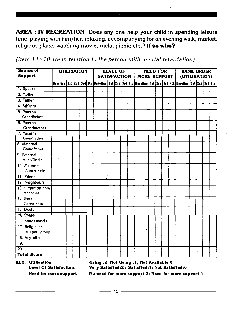AREA : IV RECREATION Does any one help your child in spending leisure time, playing with him/her, relaxing, accompanying for an evening walk, market, religious place, watching movie, mela, picnic etc.? If so who?

(Item  $1$  to  $10$  are in relation to the person with mental retardation)

| <b>Source of</b><br><b>Support</b> | <b>UTILISATION</b> | <b>SATISFACTION</b> | <b>LEVEL OF</b> |                                                                                                                                       | <b>MORE SUPPORT</b> | <b>NEED FOR</b> |  | <b>RANK ORDER</b><br>(UTILISATION) |  |  |  |  |  |
|------------------------------------|--------------------|---------------------|-----------------|---------------------------------------------------------------------------------------------------------------------------------------|---------------------|-----------------|--|------------------------------------|--|--|--|--|--|
|                                    |                    |                     |                 | Baseline   1st   2nd   3rd   4th  Baseline   1st   2nd   3rd   4th  Baseline   1st   2nd   3rd   4th  Baseline   1st  2nd   3rd   4th |                     |                 |  |                                    |  |  |  |  |  |
| 1. Spouse                          |                    |                     |                 |                                                                                                                                       |                     |                 |  |                                    |  |  |  |  |  |
| 2. Mother                          |                    |                     |                 |                                                                                                                                       |                     |                 |  |                                    |  |  |  |  |  |
| 3. Father                          |                    |                     |                 |                                                                                                                                       |                     |                 |  |                                    |  |  |  |  |  |
| 4. Siblings                        |                    |                     |                 |                                                                                                                                       |                     |                 |  |                                    |  |  |  |  |  |
| 5. Paternal<br>Grandfather         |                    |                     |                 |                                                                                                                                       |                     |                 |  |                                    |  |  |  |  |  |
| 6. Paternal<br>Grandmother         |                    |                     |                 |                                                                                                                                       |                     |                 |  |                                    |  |  |  |  |  |
| 7. Maternal<br><b>Grandfather</b>  |                    |                     |                 |                                                                                                                                       |                     |                 |  |                                    |  |  |  |  |  |
| 8. Maternal<br>Grandfather         |                    |                     |                 |                                                                                                                                       |                     |                 |  |                                    |  |  |  |  |  |
| 9. Paternal<br>Aunt/Uncle          |                    |                     |                 |                                                                                                                                       |                     |                 |  |                                    |  |  |  |  |  |
| 10. Maternal<br>Aunt/Uncle         |                    |                     |                 |                                                                                                                                       |                     |                 |  |                                    |  |  |  |  |  |
| 11. Friends                        |                    |                     |                 |                                                                                                                                       |                     |                 |  |                                    |  |  |  |  |  |
| 12. Neighbours                     |                    |                     |                 |                                                                                                                                       |                     |                 |  |                                    |  |  |  |  |  |
| 13. Organizations/<br>Agencies     |                    |                     |                 |                                                                                                                                       |                     |                 |  |                                    |  |  |  |  |  |
| $14.$ Boss/<br>Co-workers          |                    |                     |                 |                                                                                                                                       |                     |                 |  |                                    |  |  |  |  |  |
| 15. Doctor                         |                    |                     |                 |                                                                                                                                       |                     |                 |  |                                    |  |  |  |  |  |
| $16.$ Other<br>professionals       |                    |                     |                 |                                                                                                                                       |                     |                 |  |                                    |  |  |  |  |  |
| 17. Religious/<br>support group    |                    |                     |                 |                                                                                                                                       |                     |                 |  |                                    |  |  |  |  |  |
| 18. Any other                      |                    |                     |                 |                                                                                                                                       |                     |                 |  |                                    |  |  |  |  |  |
| 19.                                |                    |                     |                 |                                                                                                                                       |                     |                 |  |                                    |  |  |  |  |  |
| $\overline{20}$ .                  |                    |                     |                 |                                                                                                                                       |                     |                 |  |                                    |  |  |  |  |  |
| <b>Total Score</b>                 |                    |                     |                 |                                                                                                                                       |                     |                 |  |                                    |  |  |  |  |  |

KEY: Utilisatlon:

UsIng :2; Not Using :1; Not Available:O Very Satisfled:2; Satlsfled:1; Not Satisfled:O

Level Of Satisfaction: Need for more support:

No need for more support 2; Need for more support:1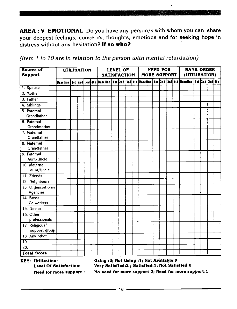AREA: V EMOTIONAL Do you have any person/s with whom you can share your deepest feelings, concerns, thoughts, emotions and for seeking hope in distress without any hesitation? If so who?

| (Item 1 to 10 are in relation to the person with mental retardation) |  |
|----------------------------------------------------------------------|--|
|----------------------------------------------------------------------|--|

| Source of<br><b>Support</b>     | <b>UTILISATION</b> |  |  | <b>SATISFACTION</b> | <b>LEVEL OF</b> |  | <b>MORE SUPPORT</b> | <b>NEED FOR</b> |  | <b>RANK ORDER</b><br>(UTILISATION)                                                                                         |  |  |
|---------------------------------|--------------------|--|--|---------------------|-----------------|--|---------------------|-----------------|--|----------------------------------------------------------------------------------------------------------------------------|--|--|
|                                 |                    |  |  |                     |                 |  |                     |                 |  | Baseline   1st  2nd  3rd  4th  Baseline   1st  2nd  3rd  4th  Baseline   1st  2nd  3rd  4th  Baseline   1st  2nd  3rd  4th |  |  |
| 1. Spouse                       |                    |  |  |                     |                 |  |                     |                 |  |                                                                                                                            |  |  |
| 2. Mother                       |                    |  |  |                     |                 |  |                     |                 |  |                                                                                                                            |  |  |
| 3. Father                       |                    |  |  |                     |                 |  |                     |                 |  |                                                                                                                            |  |  |
| 4. Siblings                     |                    |  |  |                     |                 |  |                     |                 |  |                                                                                                                            |  |  |
| 5. Paternal<br>Grandfather      |                    |  |  |                     |                 |  |                     |                 |  |                                                                                                                            |  |  |
| 6. Paternal<br>Grandmother      |                    |  |  |                     |                 |  |                     |                 |  |                                                                                                                            |  |  |
| 7. Maternal<br>Grandfather      |                    |  |  |                     |                 |  |                     |                 |  |                                                                                                                            |  |  |
| 8. Maternal<br>Grandfather      |                    |  |  |                     |                 |  |                     |                 |  |                                                                                                                            |  |  |
| 9. Paternal<br>Aunt/Uncle       |                    |  |  |                     |                 |  |                     |                 |  |                                                                                                                            |  |  |
| 10. Maternal<br>Aunt/Uncle      |                    |  |  |                     |                 |  |                     |                 |  |                                                                                                                            |  |  |
| 11. Friends                     |                    |  |  |                     |                 |  |                     |                 |  |                                                                                                                            |  |  |
| 12. Neighbours                  |                    |  |  |                     |                 |  |                     |                 |  |                                                                                                                            |  |  |
| 13. Organizations/<br>Agencies  |                    |  |  |                     |                 |  |                     |                 |  |                                                                                                                            |  |  |
| $14.$ Boss/<br>Co-workers       |                    |  |  |                     |                 |  |                     |                 |  |                                                                                                                            |  |  |
| 15. Doctor                      |                    |  |  |                     |                 |  |                     |                 |  |                                                                                                                            |  |  |
| 16. Other<br>professionals      |                    |  |  |                     |                 |  |                     |                 |  |                                                                                                                            |  |  |
| 17. Religious/<br>support group |                    |  |  |                     |                 |  |                     |                 |  |                                                                                                                            |  |  |
| 18. Any other                   |                    |  |  |                     |                 |  |                     |                 |  |                                                                                                                            |  |  |
| $\overline{19}$ .               |                    |  |  |                     |                 |  |                     |                 |  |                                                                                                                            |  |  |
| $\overline{20}$ .               |                    |  |  |                     |                 |  |                     |                 |  |                                                                                                                            |  |  |
| <b>Total Score</b>              |                    |  |  |                     |                 |  |                     |                 |  |                                                                                                                            |  |  |

KEY: Utlilsatlon: UsIng :2; Not Using :1; Not Avallabie:O Very Satisfied:2 ; Satisfied:1; Not Satisfied:0 Need for more support: No need for more support 2; Need for more support:1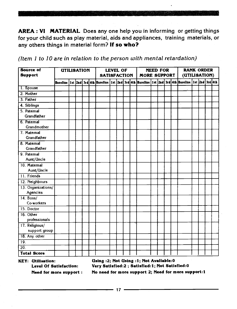AREA : VI MATERIAL Does any one help you in informing or getting things for your child such as play material, aids and appliances, training materials, or any others things in material form? If so who?

| (Item 1 to 10 are in relation to the person with mental retardation) |  |  |
|----------------------------------------------------------------------|--|--|
|----------------------------------------------------------------------|--|--|

| <b>Source of</b><br><b>UTILISATION</b><br><b>Support</b> |  |  |  |  | <b>SATISFACTION</b>                                                                                                        | <b>LEVEL OF</b> |  | <b>MORE SUPPORT</b> | <b>NEED FOR</b> |  | <b>RANK ORDER</b><br>(UTILISATION) |  |  |
|----------------------------------------------------------|--|--|--|--|----------------------------------------------------------------------------------------------------------------------------|-----------------|--|---------------------|-----------------|--|------------------------------------|--|--|
|                                                          |  |  |  |  | Baseline   1st  2nd  3rd  4th  Baseline   1st  2nd  3rd  4th  Baseline   1st  2nd  3rd  4th  Baseline   1st  2nd  3rd  4th |                 |  |                     |                 |  |                                    |  |  |
| 1. Spouse                                                |  |  |  |  |                                                                                                                            |                 |  |                     |                 |  |                                    |  |  |
| 2. Mother                                                |  |  |  |  |                                                                                                                            |                 |  |                     |                 |  |                                    |  |  |
| 3. Father                                                |  |  |  |  |                                                                                                                            |                 |  |                     |                 |  |                                    |  |  |
| 4. Siblings                                              |  |  |  |  |                                                                                                                            |                 |  |                     |                 |  |                                    |  |  |
| 5. Paternal<br>Grandfather                               |  |  |  |  |                                                                                                                            |                 |  |                     |                 |  |                                    |  |  |
| 6. Paternal                                              |  |  |  |  |                                                                                                                            |                 |  |                     |                 |  |                                    |  |  |
| Grandmother                                              |  |  |  |  |                                                                                                                            |                 |  |                     |                 |  |                                    |  |  |
| 7. Maternal<br>Grandfather                               |  |  |  |  |                                                                                                                            |                 |  |                     |                 |  |                                    |  |  |
| 8. Maternal<br>Grandfather                               |  |  |  |  |                                                                                                                            |                 |  |                     |                 |  |                                    |  |  |
| 9. Paternal<br>Aunt/Uncle                                |  |  |  |  |                                                                                                                            |                 |  |                     |                 |  |                                    |  |  |
| 10. Maternal<br>Aunt/Uncle                               |  |  |  |  |                                                                                                                            |                 |  |                     |                 |  |                                    |  |  |
| 11. Friends                                              |  |  |  |  |                                                                                                                            |                 |  |                     |                 |  |                                    |  |  |
| 12. Neighbours                                           |  |  |  |  |                                                                                                                            |                 |  |                     |                 |  |                                    |  |  |
| 13. Organizations/<br>Agencies                           |  |  |  |  |                                                                                                                            |                 |  |                     |                 |  |                                    |  |  |
| $14.$ Boss/<br>Co-workers                                |  |  |  |  |                                                                                                                            |                 |  |                     |                 |  |                                    |  |  |
| 15. Doctor                                               |  |  |  |  |                                                                                                                            |                 |  |                     |                 |  |                                    |  |  |
| 16. Other<br>professionals                               |  |  |  |  |                                                                                                                            |                 |  |                     |                 |  |                                    |  |  |
| 17. Religious/<br>support group                          |  |  |  |  |                                                                                                                            |                 |  |                     |                 |  |                                    |  |  |
| 18. Any other                                            |  |  |  |  |                                                                                                                            |                 |  |                     |                 |  |                                    |  |  |
| 19.                                                      |  |  |  |  |                                                                                                                            |                 |  |                     |                 |  |                                    |  |  |
| $\overline{20}$ .                                        |  |  |  |  |                                                                                                                            |                 |  |                     |                 |  |                                    |  |  |
| <b>Total Score</b>                                       |  |  |  |  |                                                                                                                            |                 |  |                     |                 |  |                                    |  |  |

KEY: Utilisation: Using :2; Not Using :1; Not Available:0<br>Level Of Satisfaction: Very Satisfied:2 ; Satisfied:1; Not Satis Very Satisfied:2 ; Satisfied:1; Not Satisfied:0 Need for more support: No need for more support 2; Need for more support:1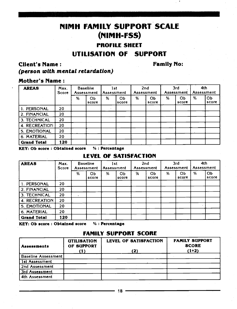### NIMH FAMILY SUPPORT SCALE (NIMH-Fss)

#### PROFILE SHEET UTILISATION OF SUPPORT

#### Client's Name: (person with mental retardation)

Family No:

#### Mother's Name:

| <b>AREAS</b>        | Max.<br>Score |   | <b>Baseline</b><br>Assessment | 1st<br>Assessment |             |   | 2nd<br>Assessment |   | 3rd<br>Assessment | 4th | Assessment  |  |
|---------------------|---------------|---|-------------------------------|-------------------|-------------|---|-------------------|---|-------------------|-----|-------------|--|
|                     |               | % | OЬ<br>score                   | %                 | Ob<br>score | % | ОЬ<br>score       | % | ОЬ<br>score       | %   | OЬ<br>score |  |
| 1. PERSONAL         | 20            |   |                               |                   |             |   |                   |   |                   |     |             |  |
| 2. FINANCIAL        | 20            |   |                               |                   |             |   |                   |   |                   |     |             |  |
| <b>3. TECHNICAL</b> | 20            |   |                               |                   |             |   |                   |   |                   |     |             |  |
| 4. RECREATION       | 20            |   |                               |                   |             |   |                   |   |                   |     |             |  |
| 5. EMOTIONAL        | 20            |   |                               |                   |             |   |                   |   |                   |     |             |  |
| 6. MATERIAL         | 20            |   |                               |                   |             |   |                   |   |                   |     |             |  |
| <b>Grand Total</b>  | 120           |   |                               |                   |             |   |                   |   |                   |     |             |  |

KEY: Ob score: Obtained score % : Percentage

#### LEVEL OF SATISFACTION

| <b>AREAS</b>       | Max.<br><b>Score</b> |   | <b>Baseline</b><br>Assessment | 1st<br>Assessment |             |   | 2nd<br>Assessment       |   | 3rd<br>Assessment | 4th | Assessment  |
|--------------------|----------------------|---|-------------------------------|-------------------|-------------|---|-------------------------|---|-------------------|-----|-------------|
|                    |                      | % | OЬ<br>score                   | %                 | OЬ<br>score | % | O <sub>b</sub><br>score | % | OЬ<br>score       | %   | Ob<br>score |
| 1. PERSONAL        | 20                   |   |                               |                   |             |   |                         |   |                   |     |             |
| l 2. FINANCIAL     | 20                   |   |                               |                   |             |   |                         |   |                   |     |             |
| l 3. TECHNICAL     | 20                   |   |                               |                   |             |   |                         |   |                   |     |             |
| 4. RECREATION      | 20                   |   |                               |                   |             |   |                         |   |                   |     |             |
| 5. EMOTIONAL       | 20                   |   |                               |                   |             |   |                         |   |                   |     |             |
| 6. MATERIAL        | 20                   |   |                               |                   |             |   |                         |   |                   |     |             |
| <b>Grand Total</b> | 120                  |   |                               |                   |             |   |                         |   |                   |     |             |

KEY: Ob score : Obtained score % : Percentage

#### FAMILY SUPPORT SCORE

| <b>Assessments</b>         | <b>UTILISATION</b><br>OF SUPPORT | <b>LEVEL OF SATISFACTION</b><br>(2) | <b>FAMILY SUPPORT</b><br><b>SCORE</b><br>$(1+2)$ |
|----------------------------|----------------------------------|-------------------------------------|--------------------------------------------------|
| <b>Baseline Assessment</b> |                                  |                                     |                                                  |
| 1st Assessment             |                                  |                                     |                                                  |
| 2nd Assessment             |                                  |                                     |                                                  |
| 3rd Assessment             |                                  |                                     |                                                  |
| 4th Assessment             |                                  |                                     |                                                  |